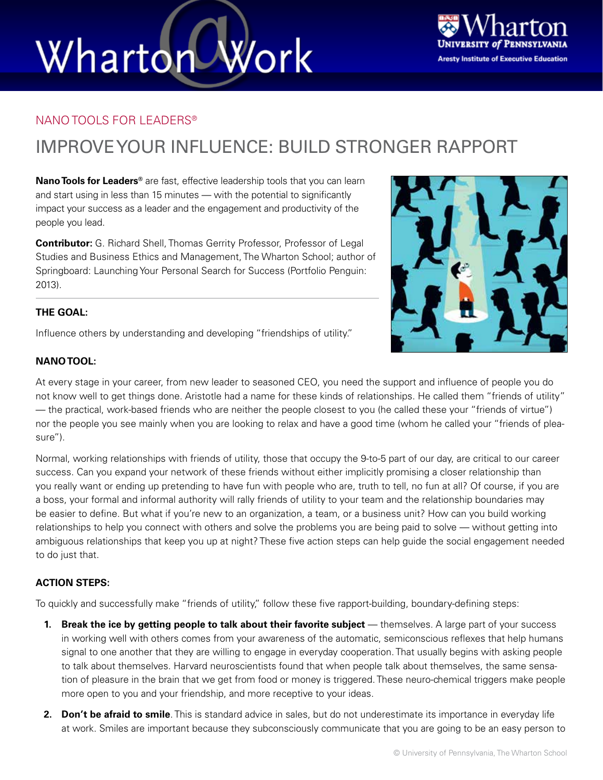# Wharton Work



### NANO TOOLS FOR LEADERS®

### IMPROVE YOUR INFLUENCE: BUILD STRONGER RAPPORT

**Nano Tools for Leaders®** are fast, effective leadership tools that you can learn and start using in less than 15 minutes — with the potential to significantly impact your success as a leader and the engagement and productivity of the people you lead.

**Contributor:** G. Richard Shell, Thomas Gerrity Professor, Professor of Legal Studies and Business Ethics and Management, The Wharton School; author of Springboard: Launching Your Personal Search for Success (Portfolio Penguin: 2013).



### **THE GOAL:**

Influence others by understanding and developing "friendships of utility."

### **NANO TOOL:**

At every stage in your career, from new leader to seasoned CEO, you need the support and influence of people you do not know well to get things done. Aristotle had a name for these kinds of relationships. He called them "friends of utility" — the practical, work-based friends who are neither the people closest to you (he called these your "friends of virtue") nor the people you see mainly when you are looking to relax and have a good time (whom he called your "friends of pleasure").

Normal, working relationships with friends of utility, those that occupy the 9-to-5 part of our day, are critical to our career success. Can you expand your network of these friends without either implicitly promising a closer relationship than you really want or ending up pretending to have fun with people who are, truth to tell, no fun at all? Of course, if you are a boss, your formal and informal authority will rally friends of utility to your team and the relationship boundaries may be easier to define. But what if you're new to an organization, a team, or a business unit? How can you build working relationships to help you connect with others and solve the problems you are being paid to solve — without getting into ambiguous relationships that keep you up at night? These five action steps can help guide the social engagement needed to do just that.

### **ACTION STEPS:**

To quickly and successfully make "friends of utility," follow these five rapport-building, boundary-defining steps:

- **1. Break the ice by getting people to talk about their favorite subject** themselves. A large part of your success in working well with others comes from your awareness of the automatic, semiconscious reflexes that help humans signal to one another that they are willing to engage in everyday cooperation. That usually begins with asking people to talk about themselves. Harvard neuroscientists found that when people talk about themselves, the same sensation of pleasure in the brain that we get from food or money is triggered. These neuro-chemical triggers make people more open to you and your friendship, and more receptive to your ideas.
- **2. Don't be afraid to smile**. This is standard advice in sales, but do not underestimate its importance in everyday life at work. Smiles are important because they subconsciously communicate that you are going to be an easy person to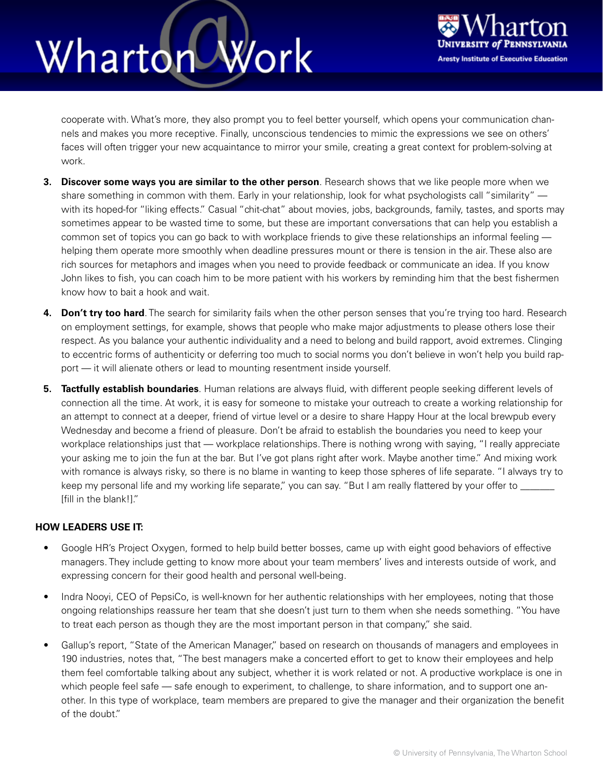## Wharton Work



cooperate with. What's more, they also prompt you to feel better yourself, which opens your communication channels and makes you more receptive. Finally, unconscious tendencies to mimic the expressions we see on others' faces will often trigger your new acquaintance to mirror your smile, creating a great context for problem-solving at work.

- **3. Discover some ways you are similar to the other person**. Research shows that we like people more when we share something in common with them. Early in your relationship, look for what psychologists call "similarity" with its hoped-for "liking effects." Casual "chit-chat" about movies, jobs, backgrounds, family, tastes, and sports may sometimes appear to be wasted time to some, but these are important conversations that can help you establish a common set of topics you can go back to with workplace friends to give these relationships an informal feeling helping them operate more smoothly when deadline pressures mount or there is tension in the air. These also are rich sources for metaphors and images when you need to provide feedback or communicate an idea. If you know John likes to fish, you can coach him to be more patient with his workers by reminding him that the best fishermen know how to bait a hook and wait.
- **4. Don't try too hard**. The search for similarity fails when the other person senses that you're trying too hard. Research on employment settings, for example, shows that people who make major adjustments to please others lose their respect. As you balance your authentic individuality and a need to belong and build rapport, avoid extremes. Clinging to eccentric forms of authenticity or deferring too much to social norms you don't believe in won't help you build rapport — it will alienate others or lead to mounting resentment inside yourself.
- **5. Tactfully establish boundaries**. Human relations are always fluid, with different people seeking different levels of connection all the time. At work, it is easy for someone to mistake your outreach to create a working relationship for an attempt to connect at a deeper, friend of virtue level or a desire to share Happy Hour at the local brewpub every Wednesday and become a friend of pleasure. Don't be afraid to establish the boundaries you need to keep your workplace relationships just that — workplace relationships. There is nothing wrong with saying, "I really appreciate your asking me to join the fun at the bar. But I've got plans right after work. Maybe another time." And mixing work with romance is always risky, so there is no blame in wanting to keep those spheres of life separate. "I always try to keep my personal life and my working life separate," you can say. "But I am really flattered by your offer to [fill in the blank!]."

### **HOW LEADERS USE IT:**

- Google HR's Project Oxygen, formed to help build better bosses, came up with eight good behaviors of effective managers. They include getting to know more about your team members' lives and interests outside of work, and expressing concern for their good health and personal well-being.
- Indra Nooyi, CEO of PepsiCo, is well-known for her authentic relationships with her employees, noting that those ongoing relationships reassure her team that she doesn't just turn to them when she needs something. "You have to treat each person as though they are the most important person in that company," she said.
- Gallup's report, "State of the American Manager," based on research on thousands of managers and employees in 190 industries, notes that, "The best managers make a concerted effort to get to know their employees and help them feel comfortable talking about any subject, whether it is work related or not. A productive workplace is one in which people feel safe — safe enough to experiment, to challenge, to share information, and to support one another. In this type of workplace, team members are prepared to give the manager and their organization the benefit of the doubt."